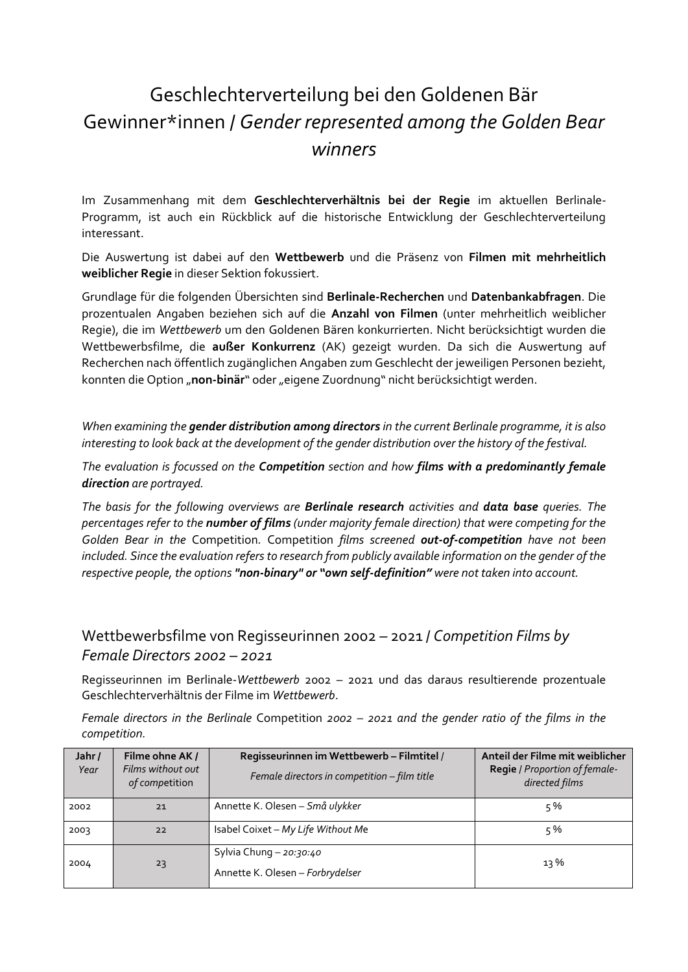## Geschlechterverteilung bei den Goldenen Bär Gewinner\*innen / *Gender represented among the Golden Bear winners*

Im Zusammenhang mit dem **Geschlechterverhältnis bei der Regie** im aktuellen Berlinale-Programm, ist auch ein Rückblick auf die historische Entwicklung der Geschlechterverteilung interessant.

Die Auswertung ist dabei auf den **Wettbewerb** und die Präsenz von **Filmen mit mehrheitlich weiblicher Regie** in dieser Sektion fokussiert.

Grundlage für die folgenden Übersichten sind **Berlinale-Recherchen** und **Datenbankabfragen**. Die prozentualen Angaben beziehen sich auf die **Anzahl von Filmen** (unter mehrheitlich weiblicher Regie), die im *Wettbewerb* um den Goldenen Bären konkurrierten. Nicht berücksichtigt wurden die Wettbewerbsfilme, die **außer Konkurrenz** (AK) gezeigt wurden. Da sich die Auswertung auf Recherchen nach öffentlich zugänglichen Angaben zum Geschlecht der jeweiligen Personen bezieht, konnten die Option "non-binär" oder "eigene Zuordnung" nicht berücksichtigt werden.

*When examining the gender distribution among directors in the current Berlinale programme, it is also interesting to look back at the development of the gender distribution over the history of the festival.*

*The evaluation is focussed on the Competition section and how films with a predominantly female direction are portrayed.* 

*The basis for the following overviews are Berlinale research activities and data base queries. The percentages refer to the number of films (under majority female direction) that were competing for the Golden Bear in the* Competition*.* Competition *films screened out-of-competition have not been included. Since the evaluation refers to research from publicly available information on the gender of the respective people, the options "non-binary" or "own self-definition" were not taken into account.*

## Wettbewerbsfilme von Regisseurinnen 2002 *–* 2021 / *Competition Films by Female Directors 2002 – 2021*

Regisseurinnen im Berlinale-*Wettbewerb* 2002 – 2021 und das daraus resultierende prozentuale Geschlechterverhältnis der Filme im *Wettbewerb*.

*Female directors in the Berlinale* Competition *2002* – *2021 and the gender ratio of the films in the competition.*

| Jahr/<br>Year | Filme ohne AK /<br>Films without out<br>of competition | Regisseurinnen im Wettbewerb - Filmtitel /<br>Female directors in competition - film title | Anteil der Filme mit weiblicher<br>Regie / Proportion of female-<br>directed films |
|---------------|--------------------------------------------------------|--------------------------------------------------------------------------------------------|------------------------------------------------------------------------------------|
| 2002          | 21                                                     | Annette K. Olesen – Små ulykker                                                            | 5%                                                                                 |
| 2003          | 22                                                     | Isabel Coixet - My Life Without Me                                                         | 5%                                                                                 |
| 2004          | 23                                                     | Sylvia Chung - 20:30:40<br>Annette K. Olesen - Forbrydelser                                | $13\%$                                                                             |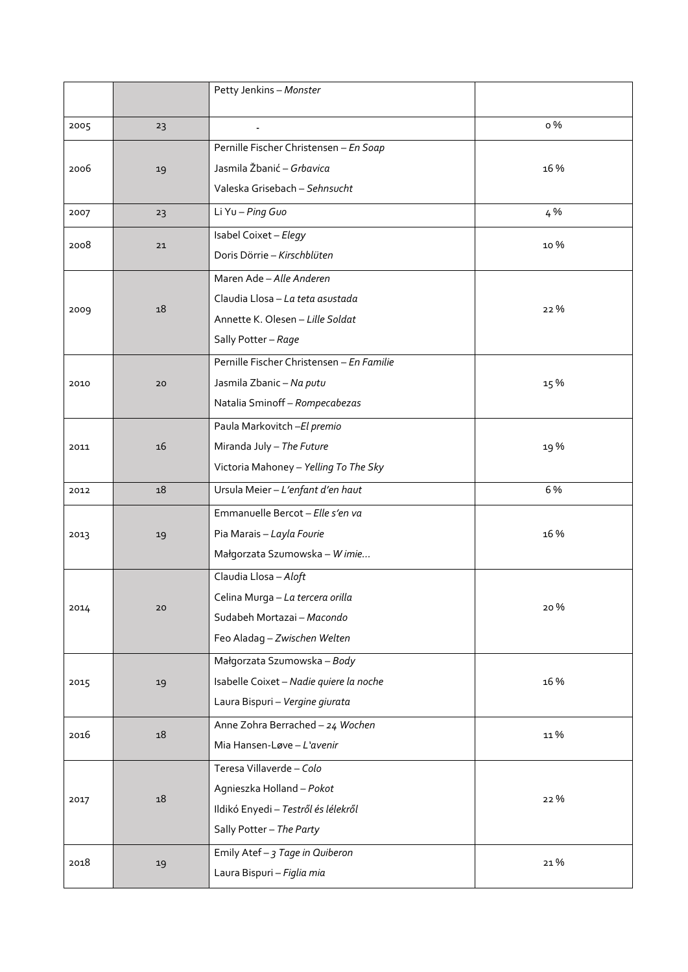|      |    | Petty Jenkins - Monster                   |      |
|------|----|-------------------------------------------|------|
|      |    |                                           |      |
| 2005 | 23 |                                           | o %  |
| 2006 | 19 | Pernille Fischer Christensen - En Soap    | 16 % |
|      |    | Jasmila Žbanić - Grbavica                 |      |
|      |    | Valeska Grisebach - Sehnsucht             |      |
| 2007 | 23 | Li Yu - Ping Guo                          | 4%   |
| 2008 | 21 | Isabel Coixet - Elegy                     | 10 % |
|      |    | Doris Dörrie - Kirschblüten               |      |
|      | 18 | Maren Ade - Alle Anderen                  | 22 % |
|      |    | Claudia Llosa - La teta asustada          |      |
| 2009 |    | Annette K. Olesen - Lille Soldat          |      |
|      |    | Sally Potter - Rage                       |      |
|      |    | Pernille Fischer Christensen - En Familie |      |
| 2010 | 20 | Jasmila Zbanic - Na putu                  | 15 % |
|      |    | Natalia Sminoff-Rompecabezas              |      |
|      |    | Paula Markovitch - El premio              | 19%  |
| 2011 | 16 | Miranda July - The Future                 |      |
|      |    | Victoria Mahoney - Yelling To The Sky     |      |
| 2012 | 18 | Ursula Meier - L'enfant d'en haut         | 6 %  |
|      | 19 | Emmanuelle Bercot - Elle s'en va          | 16 % |
| 2013 |    | Pia Marais - Layla Fourie                 |      |
|      |    | Małgorzata Szumowska - Wimie              |      |
|      | 20 | Claudia Llosa - Aloft                     | 20%  |
|      |    | Celina Murga - La tercera orilla          |      |
| 2014 |    | Sudabeh Mortazai - Macondo                |      |
|      |    | Feo Aladag - Zwischen Welten              |      |
| 2015 | 19 | Małgorzata Szumowska - Body               | 16 % |
|      |    | Isabelle Coixet - Nadie quiere la noche   |      |
|      |    | Laura Bispuri - Vergine giurata           |      |
|      | 18 | Anne Zohra Berrached - 24 Wochen          | 11%  |
| 2016 |    | Mia Hansen-Løve - L'avenir                |      |
|      | 18 | Teresa Villaverde - Colo                  | 22 % |
| 2017 |    | Agnieszka Holland - Pokot                 |      |
|      |    | Ildikó Enyedi - Testről és lélekről       |      |
|      |    | Sally Potter - The Party                  |      |
| 2018 | 19 | Emily Atef - 3 Tage in Quiberon           | 21%  |
|      |    | Laura Bispuri - Figlia mia                |      |
|      |    |                                           |      |